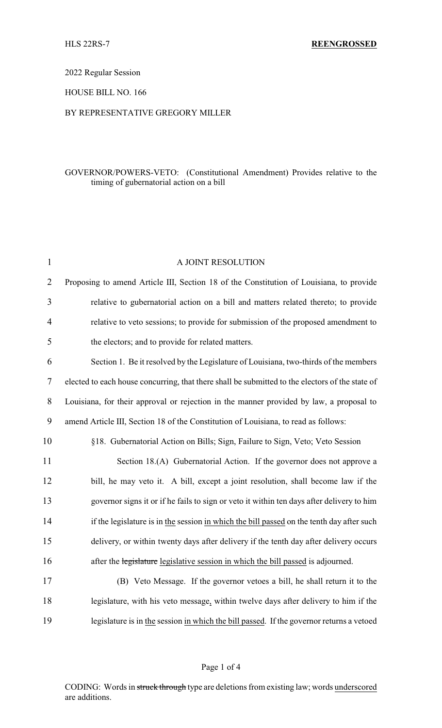2022 Regular Session

HOUSE BILL NO. 166

### BY REPRESENTATIVE GREGORY MILLER

# GOVERNOR/POWERS-VETO: (Constitutional Amendment) Provides relative to the timing of gubernatorial action on a bill

| $\mathbf{1}$     | A JOINT RESOLUTION                                                                              |
|------------------|-------------------------------------------------------------------------------------------------|
| $\overline{2}$   | Proposing to amend Article III, Section 18 of the Constitution of Louisiana, to provide         |
| 3                | relative to gubernatorial action on a bill and matters related thereto; to provide              |
| 4                | relative to veto sessions; to provide for submission of the proposed amendment to               |
| 5                | the electors; and to provide for related matters.                                               |
| 6                | Section 1. Be it resolved by the Legislature of Louisiana, two-thirds of the members            |
| 7                | elected to each house concurring, that there shall be submitted to the electors of the state of |
| 8                | Louisiana, for their approval or rejection in the manner provided by law, a proposal to         |
| $\boldsymbol{9}$ | amend Article III, Section 18 of the Constitution of Louisiana, to read as follows:             |
| 10               | §18. Gubernatorial Action on Bills; Sign, Failure to Sign, Veto; Veto Session                   |
| 11               | Section 18.(A) Gubernatorial Action. If the governor does not approve a                         |
| 12               | bill, he may veto it. A bill, except a joint resolution, shall become law if the                |
| 13               | governor signs it or if he fails to sign or veto it within ten days after delivery to him       |
| 14               | if the legislature is in the session in which the bill passed on the tenth day after such       |
| 15               | delivery, or within twenty days after delivery if the tenth day after delivery occurs           |
| 16               | after the legislature legislative session in which the bill passed is adjourned.                |
| 17               | (B) Veto Message. If the governor vetoes a bill, he shall return it to the                      |
| 18               | legislature, with his veto message, within twelve days after delivery to him if the             |
| 19               | legislature is in the session in which the bill passed. If the governor returns a vetoed        |

### Page 1 of 4

CODING: Words in struck through type are deletions from existing law; words underscored are additions.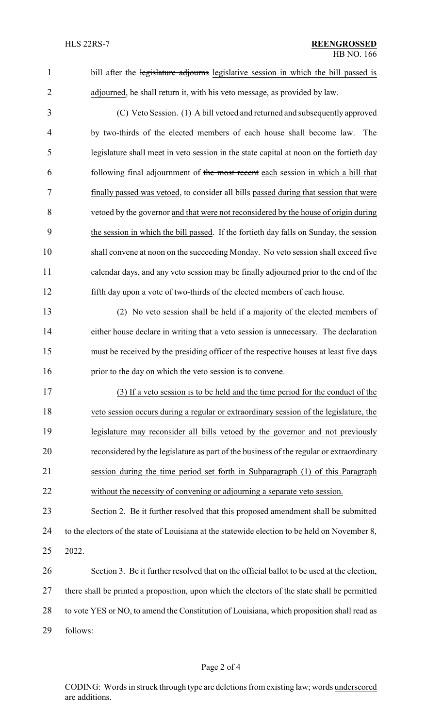1 bill after the legislature adjourns legislative session in which the bill passed is adjourned, he shall return it, with his veto message, as provided by law.

 (C) Veto Session. (1) A bill vetoed and returned and subsequently approved by two-thirds of the elected members of each house shall become law. The legislature shall meet in veto session in the state capital at noon on the fortieth day following final adjournment of the most recent each session in which a bill that finally passed was vetoed, to consider all bills passed during that session that were vetoed by the governor and that were not reconsidered by the house of origin during the session in which the bill passed. If the fortieth day falls on Sunday, the session shall convene at noon on the succeeding Monday. No veto session shall exceed five calendar days, and any veto session may be finally adjourned prior to the end of the fifth day upon a vote of two-thirds of the elected members of each house.

 (2) No veto session shall be held if a majority of the elected members of either house declare in writing that a veto session is unnecessary. The declaration must be received by the presiding officer of the respective houses at least five days 16 prior to the day on which the veto session is to convene.

 (3) If a veto session is to be held and the time period for the conduct of the veto session occurs during a regular or extraordinary session of the legislature, the legislature may reconsider all bills vetoed by the governor and not previously reconsidered by the legislature as part of the business of the regular or extraordinary session during the time period set forth in Subparagraph (1) of this Paragraph without the necessity of convening or adjourning a separate veto session.

 Section 2. Be it further resolved that this proposed amendment shall be submitted to the electors of the state of Louisiana at the statewide election to be held on November 8, 2022.

 Section 3. Be it further resolved that on the official ballot to be used at the election, there shall be printed a proposition, upon which the electors of the state shall be permitted 28 to vote YES or NO, to amend the Constitution of Louisiana, which proposition shall read as follows:

### Page 2 of 4

CODING: Words in struck through type are deletions from existing law; words underscored are additions.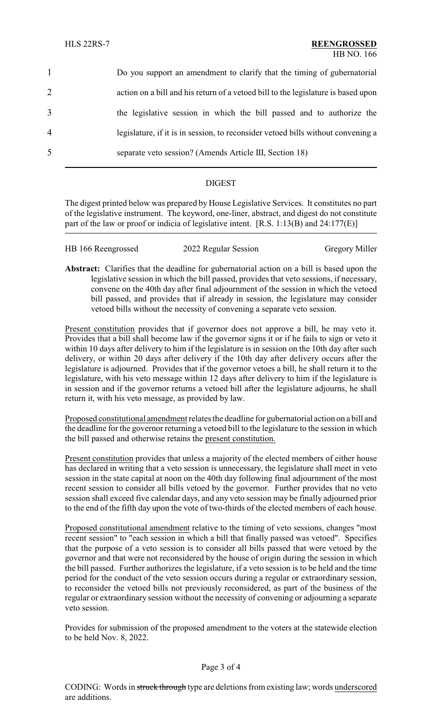|                | Do you support an amendment to clarify that the timing of gubernatorial           |
|----------------|-----------------------------------------------------------------------------------|
| 2              | action on a bill and his return of a vetoed bill to the legislature is based upon |
| 3              | the legislative session in which the bill passed and to authorize the             |
| $\overline{4}$ | legislature, if it is in session, to reconsider vetoed bills without convening a  |
| 5              | separate veto session? (Amends Article III, Section 18)                           |

# DIGEST

The digest printed below was prepared by House Legislative Services. It constitutes no part of the legislative instrument. The keyword, one-liner, abstract, and digest do not constitute part of the law or proof or indicia of legislative intent. [R.S. 1:13(B) and 24:177(E)]

| HB 166 Reengrossed | 2022 Regular Session | <b>Gregory Miller</b> |
|--------------------|----------------------|-----------------------|
|                    |                      |                       |

**Abstract:** Clarifies that the deadline for gubernatorial action on a bill is based upon the legislative session in which the bill passed, provides that veto sessions, if necessary, convene on the 40th day after final adjournment of the session in which the vetoed bill passed, and provides that if already in session, the legislature may consider vetoed bills without the necessity of convening a separate veto session.

Present constitution provides that if governor does not approve a bill, he may veto it. Provides that a bill shall become law if the governor signs it or if he fails to sign or veto it within 10 days after delivery to him if the legislature is in session on the 10th day after such delivery, or within 20 days after delivery if the 10th day after delivery occurs after the legislature is adjourned. Provides that if the governor vetoes a bill, he shall return it to the legislature, with his veto message within 12 days after delivery to him if the legislature is in session and if the governor returns a vetoed bill after the legislature adjourns, he shall return it, with his veto message, as provided by law.

Proposed constitutional amendment relates the deadline for gubernatorial action on a bill and the deadline for the governor returning a vetoed bill to the legislature to the session in which the bill passed and otherwise retains the present constitution.

Present constitution provides that unless a majority of the elected members of either house has declared in writing that a veto session is unnecessary, the legislature shall meet in veto session in the state capital at noon on the 40th day following final adjournment of the most recent session to consider all bills vetoed by the governor. Further provides that no veto session shall exceed five calendar days, and any veto session may be finally adjourned prior to the end of the fifth day upon the vote of two-thirds of the elected members of each house.

Proposed constitutional amendment relative to the timing of veto sessions, changes "most recent session" to "each session in which a bill that finally passed was vetoed". Specifies that the purpose of a veto session is to consider all bills passed that were vetoed by the governor and that were not reconsidered by the house of origin during the session in which the bill passed. Further authorizes the legislature, if a veto session is to be held and the time period for the conduct of the veto session occurs during a regular or extraordinary session, to reconsider the vetoed bills not previously reconsidered, as part of the business of the regular or extraordinary session without the necessity of convening or adjourning a separate veto session.

Provides for submission of the proposed amendment to the voters at the statewide election to be held Nov. 8, 2022.